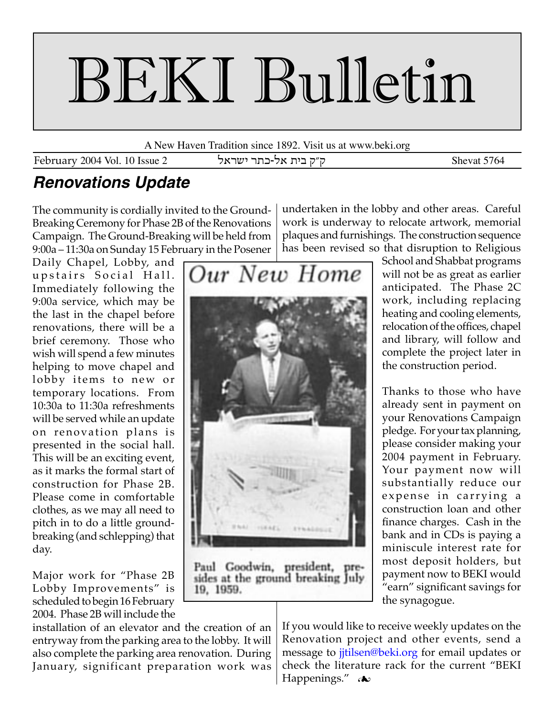# BEKI Bulletin

A New Haven Tradition since 1892. Visit us at www.beki.org

February 2004 Vol. 10 Issue 2 ק״ק בית אל-כתר ישראל February 2004 Vol. 10 Issue 2

## **Renovations Update**

The community is cordially invited to the Ground-Breaking Ceremony for Phase 2B of the Renovations Campaign. The Ground-Breaking will be held from 9:00a – 11:30a on Sunday 15 February in the Posener

Daily Chapel, Lobby, and upstairs Social Hall. Immediately following the 9:00a service, which may be the last in the chapel before renovations, there will be a brief ceremony. Those who wish will spend a few minutes helping to move chapel and lobby items to new or temporary locations. From 10:30a to 11:30a refreshments will be served while an update on renovation plans is presented in the social hall. This will be an exciting event, as it marks the formal start of construction for Phase 2B. Please come in comfortable clothes, as we may all need to pitch in to do a little groundbreaking (and schlepping) that day.

Major work for "Phase 2B Lobby Improvements" is scheduled to begin 16 February 2004. Phase 2B will include the undertaken in the lobby and other areas. Careful work is underway to relocate artwork, memorial plaques and furnishings. The construction sequence has been revised so that disruption to Religious School and Shabbat programs



Paul Goodwin, president, pre-<br>sides at the ground breaking July 19, 1959.

installation of an elevator and the creation of an entryway from the parking area to the lobby. It will also complete the parking area renovation. During January, significant preparation work was

anticipated. The Phase 2C work, including replacing heating and cooling elements, relocation of the offices, chapel and library, will follow and complete the project later in the construction period.

will not be as great as earlier

Thanks to those who have already sent in payment on your Renovations Campaign pledge. For your tax planning, please consider making your 2004 payment in February. Your payment now will substantially reduce our expense in carrying a construction loan and other finance charges. Cash in the bank and in CDs is paying a miniscule interest rate for most deposit holders, but payment now to BEKI would "earn" significant savings for the synagogue.

If you would like to receive weekly updates on the Renovation project and other events, send a message to *jitilsen@beki.org* for email updates or check the literature rack for the current "BEKI Happenings." A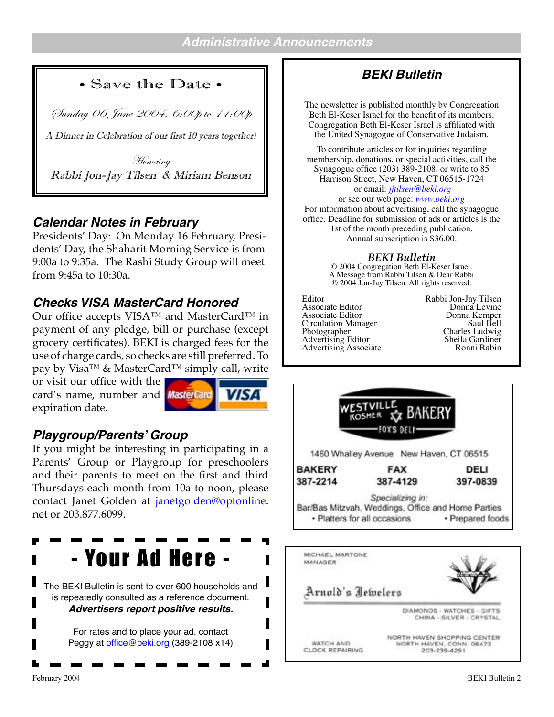#### • Save the Date •

Sunday 06 June 2004, 6:00p to 11:00p

A Dinner in Celebration of our first 10 years together!

Honoring Rabbi Jon-Jay Tilsen & Miriam Benson

#### **Calendar Notes in February**

Presidents' Day: On Monday 16 February, Presidents' Day, the Shaharit Morning Service is from 9:00a to 9:35a. The Rashi Study Group will meet from 9:45a to 10:30a.

#### **Checks VISA MasterCard Honored**

Our office accepts VISA™ and MasterCard™ in payment of any pledge, bill or purchase (except grocery certificates). BEKI is charged fees for the use of charge cards, so checks are still preferred. To pay by Visa™ & MasterCard™ simply call, write

or visit our office with the card's name, number and **MasterCard** expiration date.



#### **Playgroup/Parents' Group**

If you might be interesting in participating in a Parents' Group or Playgroup for preschoolers and their parents to meet on the first and third Thursdays each month from 10a to noon, please contact Janet Golden at [janetgolden@optonline](mailto:janetgolden@optonline). net or 203.877.6099.

## - Your Ad Here -

The BEKI Bulletin is sent to over 600 households and is repeatedly consulted as a reference document. **Advertisers report positive results.**

> For rates and to place your ad, contact Peggy at [office@beki.org](mailto:office@beki.org) (389-2108 x14)

## **BEKI Bulletin**

The newsletter is published monthly by Congregation Beth El-Keser Israel for the benefit of its members. Congregation Beth El-Keser Israel is affiliated with the United Synagogue of Conservative Judaism.

To contribute articles or for inquiries regarding membership, donations, or special activities, call the Synagogue office (203) 389-2108, or write to 85 Harrison Street, New Haven, CT 06515-1724 or email: *[jjtilsen@beki.org](mailto:jjtilsen@beki.org)*

or see our web page: *[www.beki.org](http://www.beki.org/coopjona.html)* For information about advertising, call the synagogue office. Deadline for submission of ads or articles is the 1st of the month preceding publication. Annual subscription is \$36.00.

*BEKI Bulletin*

© 2004 Congregation Beth El-Keser Israel. A Message from Rabbi Tilsen & Dear Rabbi © 2004 Jon-Jay Tilsen. All rights reserved.

Editor Rabbi Jon-Jay Tilsen<br>Associate Editor Donna Levine<br>Associate Editor Donna Kemper Circulation Manager Saul Bell<br>
Photographer Charles Ludwig Advertising Editor **Sheila Gardiner**<br>
Advertising Associate **Sheila Gardiner**<br>
Ronni Rabin Advertising Associate



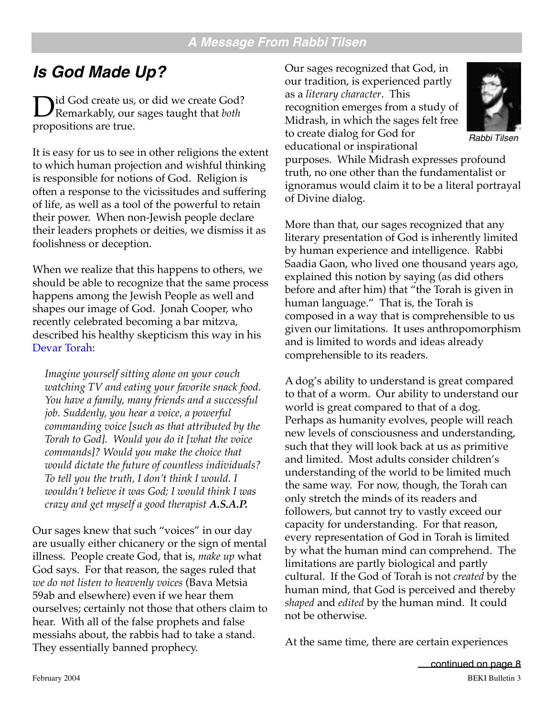## **Is God Made Up?**

Did God create us, or did we create God? Remarkably, our sages taught that *both* propositions are true.

It is easy for us to see in other religions the extent to which human projection and wishful thinking is responsible for notions of God. Religion is often a response to the vicissitudes and suffering of life, as well as a tool of the powerful to retain their power. When non-Jewish people declare their leaders prophets or deities, we dismiss it as foolishness or deception.

When we realize that this happens to others, we should be able to recognize that the same process happens among the Jewish People as well and shapes our image of God. Jonah Cooper, who recently celebrated becoming a bar mitzva, described his healthy skepticism this way in his [Devar Torah](http://www.beki.org/coopjona.html):

*Imagine yourself sitting alone on your couch watching TV and eating your favorite snack food. You have a family, many friends and a successful job. Suddenly, you hear a voice, a powerful commanding voice [such as that attributed by the Torah to God]. Would you do it [what the voice commands]? Would you make the choice that would dictate the future of countless individuals? To tell you the truth, I don't think I would. I wouldn't believe it was God; I would think I was crazy and get myself a good therapist A.S.A.P.*

Our sages knew that such "voices" in our day are usually either chicanery or the sign of mental illness. People create God, that is, *make up* what God says. For that reason, the sages ruled that *we do not listen to heavenly voices* (Bava Metsia 59ab and elsewhere) even if we hear them ourselves; certainly not those that others claim to hear. With all of the false prophets and false messiahs about, the rabbis had to take a stand. They essentially banned prophecy.

Our sages recognized that God, in our tradition, is experienced partly as a *literary character*. This recognition emerges from a study of Midrash, in which the sages felt free to create dialog for God for educational or inspirational



Rabbi Tilsen

purposes. While Midrash expresses profound truth, no one other than the fundamentalist or ignoramus would claim it to be a literal portrayal of Divine dialog.

More than that, our sages recognized that any literary presentation of God is inherently limited by human experience and intelligence. Rabbi Saadia Gaon, who lived one thousand years ago, explained this notion by saying (as did others before and after him) that "the Torah is given in human language." That is, the Torah is composed in a way that is comprehensible to us given our limitations. It uses anthropomorphism and is limited to words and ideas already comprehensible to its readers.

A dog's ability to understand is great compared to that of a worm. Our ability to understand our world is great compared to that of a dog. Perhaps as humanity evolves, people will reach new levels of consciousness and understanding, such that they will look back at us as primitive and limited. Most adults consider children's understanding of the world to be limited much the same way. For now, though, the Torah can only stretch the minds of its readers and followers, but cannot try to vastly exceed our capacity for understanding. For that reason, every representation of God in Torah is limited by what the human mind can comprehend. The limitations are partly biological and partly cultural. If the God of Torah is not *created* by the human mind, that God is perceived and thereby *shaped* and *edited* by the human mind. It could not be otherwise.

At the same time, there are certain experiences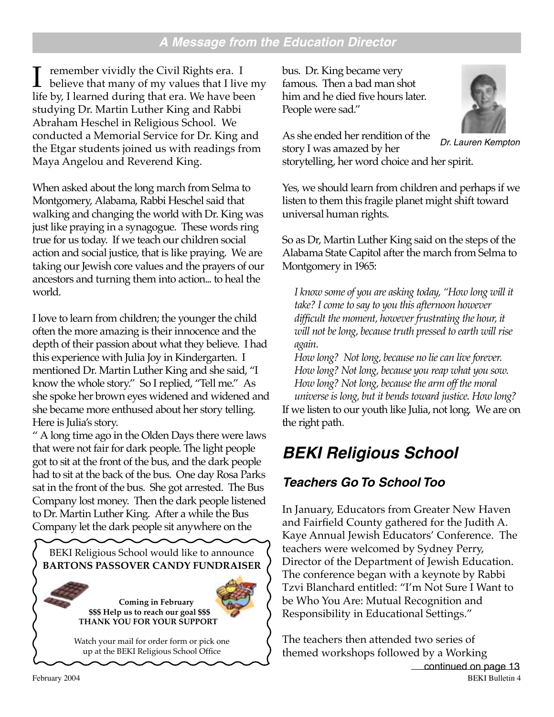#### **A Message from the Education Director**

I remember vividly the Civil Rights era. I<br>believe that many of my values that I live my<br>life by I learned during that era. We have been life by, I learned during that era. We have been studying Dr. Martin Luther King and Rabbi Abraham Heschel in Religious School. We conducted a Memorial Service for Dr. King and the Etgar students joined us with readings from Maya Angelou and Reverend King.

When asked about the long march from Selma to Montgomery, Alabama, Rabbi Heschel said that walking and changing the world with Dr. King was just like praying in a synagogue. These words ring true for us today. If we teach our children social action and social justice, that is like praying. We are taking our Jewish core values and the prayers of our ancestors and turning them into action... to heal the world.

I love to learn from children; the younger the child often the more amazing is their innocence and the depth of their passion about what they believe. I had this experience with Julia Joy in Kindergarten. I mentioned Dr. Martin Luther King and she said, "I know the whole story." So I replied, "Tell me." As she spoke her brown eyes widened and widened and she became more enthused about her story telling. Here is Julia's story.

" A long time ago in the Olden Days there were laws that were not fair for dark people. The light people got to sit at the front of the bus, and the dark people had to sit at the back of the bus. One day Rosa Parks sat in the front of the bus. She got arrested. The Bus Company lost money. Then the dark people listened to Dr. Martin Luther King. After a while the Bus Company let the dark people sit anywhere on the



bus. Dr. King became very famous. Then a bad man shot him and he died five hours later. People were sad."



As she ended her rendition of the

story I was amazed by her storytelling, her word choice and her spirit. Dr. Lauren Kempton

Yes, we should learn from children and perhaps if we listen to them this fragile planet might shift toward universal human rights.

So as Dr, Martin Luther King said on the steps of the Alabama State Capitol after the march from Selma to Montgomery in 1965:

*I know some of you are asking today, "How long will it take? I come to say to you this afternoon however difficult the moment, however frustrating the hour, it will not be long, because truth pressed to earth will rise again.*

*How long? Not long, because no lie can live forever. How long? Not long, because you reap what you sow. How long? Not long, because the arm off the moral universe is long, but it bends toward justice. How long?*  If we listen to our youth like Julia, not long. We are on the right path.

## **BEKI Religious School**

## **Teachers Go To School Too**

In January, Educators from Greater New Haven and Fairfield County gathered for the Judith A. Kaye Annual Jewish Educators' Conference. The teachers were welcomed by Sydney Perry, Director of the Department of Jewish Education. The conference began with a keynote by Rabbi Tzvi Blanchard entitled: "I'm Not Sure I Want to be Who You Are: Mutual Recognition and Responsibility in Educational Settings."

The teachers then attended two series of themed workshops followed by a Working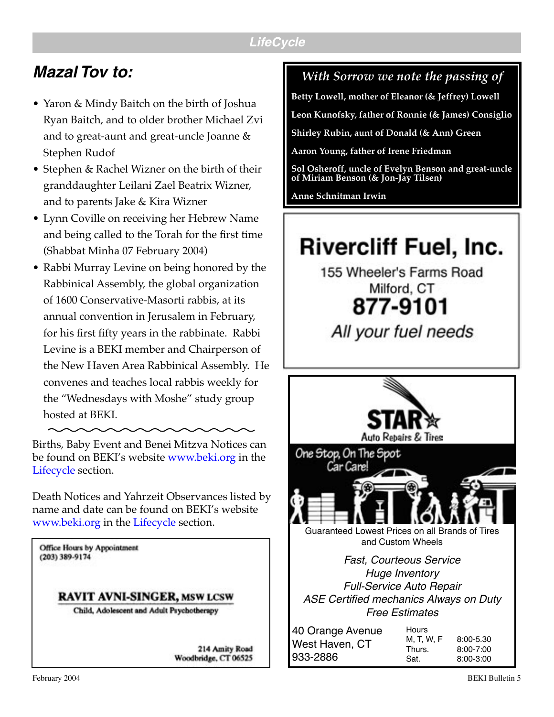#### **LifeCycle**

## **Mazal Tov to:**

- Yaron & Mindy Baitch on the birth of Joshua Ryan Baitch, and to older brother Michael Zvi and to great-aunt and great-uncle Joanne & Stephen Rudof
- Stephen & Rachel Wizner on the birth of their granddaughter Leilani Zael Beatrix Wizner, and to parents Jake & Kira Wizner
- Lynn Coville on receiving her Hebrew Name and being called to the Torah for the first time (Shabbat Minha 07 February 2004)
- Rabbi Murray Levine on being honored by the Rabbinical Assembly, the global organization of 1600 Conservative-Masorti rabbis, at its annual convention in Jerusalem in February, for his first fifty years in the rabbinate. Rabbi Levine is a BEKI member and Chairperson of the New Haven Area Rabbinical Assembly. He convenes and teaches local rabbis weekly for the "Wednesdays with Moshe" study group hosted at BEKI.

Births, Baby Event and Benei Mitzva Notices can be found on BEKI's website [www.beki.org](http://www.beki.org/coopjona.html) in the [Lifecycle](http://www.beki.org/newsindex.html#lifecycle) section.

Death Notices and Yahrzeit Observances listed by name and date can be found on BEKI's website [www.beki.org](http://www.beki.org/coopjona.html) in the [Lifecycle](http://www.beki.org/newsindex.html#lifecycle) section.

**Office Hours by Appointment** (203) 389-9174

#### **RAVIT AVNI-SINGER, MSW LCSW**

Child, Adolescent and Adult Psychotherapy

214 Amity Road Woodbridge, CT 06525

## *With Sorrow we note the passing of*

**Betty Lowell, mother of Eleanor (& Jeffrey) Lowell**

**Leon Kunofsky, father of Ronnie (& James) Consiglio**

**Shirley Rubin, aunt of Donald (& Ann) Green**

**Aaron Young, father of Irene Friedman**

**Sol Osheroff, uncle of Evelyn Benson and great-uncle of Miriam Benson (& Jon-Jay Tilsen)**

**Anne Schnitman Irwin**

## **Rivercliff Fuel, Inc.**

155 Wheeler's Farms Road Milford, CT 877-9101

All your fuel needs

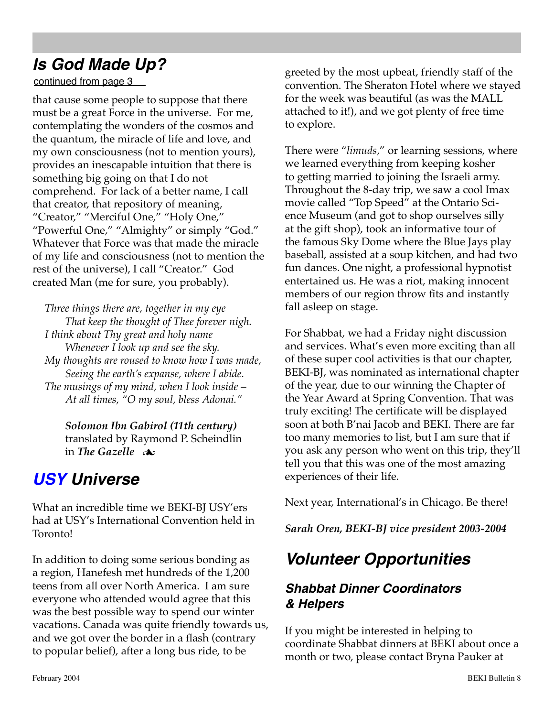## **Is God Made Up?**

continued from page 3

that cause some people to suppose that there must be a great Force in the universe. For me, contemplating the wonders of the cosmos and the quantum, the miracle of life and love, and my own consciousness (not to mention yours), provides an inescapable intuition that there is something big going on that I do not comprehend. For lack of a better name, I call that creator, that repository of meaning, "Creator," "Merciful One," "Holy One," "Powerful One," "Almighty" or simply "God." Whatever that Force was that made the miracle of my life and consciousness (not to mention the rest of the universe), I call "Creator." God created Man (me for sure, you probably).

*Three things there are, together in my eye That keep the thought of Thee forever nigh. I think about Thy great and holy name Whenever I look up and see the sky. My thoughts are roused to know how I was made, Seeing the earth's expanse, where I abide. The musings of my mind, when I look inside – At all times, "O my soul, bless Adonai."*

*Solomon Ibn Gabirol (11th century)* translated by Raymond P. Scheindlin in *The Gazelle*

## **[USY](http://www.beki.org/youth.html#kadimausy) Universe**

What an incredible time we BEKI-BJ USY'ers had at USY's International Convention held in Toronto!

In addition to doing some serious bonding as a region, Hanefesh met hundreds of the 1,200 teens from all over North America. I am sure everyone who attended would agree that this was the best possible way to spend our winter vacations. Canada was quite friendly towards us, and we got over the border in a flash (contrary to popular belief), after a long bus ride, to be

greeted by the most upbeat, friendly staff of the convention. The Sheraton Hotel where we stayed for the week was beautiful (as was the MALL attached to it!), and we got plenty of free time to explore.

There were "*limuds,*" or learning sessions, where we learned everything from keeping kosher to getting married to joining the Israeli army. Throughout the 8-day trip, we saw a cool Imax movie called "Top Speed" at the Ontario Science Museum (and got to shop ourselves silly at the gift shop), took an informative tour of the famous Sky Dome where the Blue Jays play baseball, assisted at a soup kitchen, and had two fun dances. One night, a professional hypnotist entertained us. He was a riot, making innocent members of our region throw fits and instantly fall asleep on stage.

For Shabbat, we had a Friday night discussion and services. What's even more exciting than all of these super cool activities is that our chapter, BEKI-BJ, was nominated as international chapter of the year, due to our winning the Chapter of the Year Award at Spring Convention. That was truly exciting! The certificate will be displayed soon at both B'nai Jacob and BEKI. There are far too many memories to list, but I am sure that if you ask any person who went on this trip, they'll tell you that this was one of the most amazing experiences of their life.

Next year, International's in Chicago. Be there!

*Sarah Oren, BEKI-BJ vice president 2003-2004*

## **Volunteer Opportunities**

## **Shabbat Dinner Coordinators & Helpers**

If you might be interested in helping to coordinate Shabbat dinners at BEKI about once a month or two, please contact Bryna Pauker at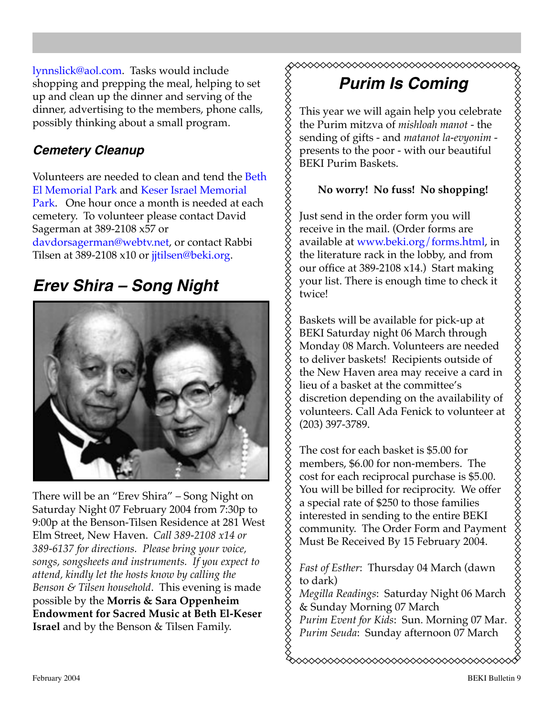[lynnslick@aol.com.](mailto:lynnslick@aol.com) Tasks would include shopping and prepping the meal, helping to set up and clean up the dinner and serving of the dinner, advertising to the members, phone calls, possibly thinking about a small program.

#### **Cemetery Cleanup**

Volunteers are needed to clean and tend the [Beth](http://www.beki.org/findbemp.html)  [El Memorial Park](http://www.beki.org/findbemp.html) and [Keser Israel Memorial](http://www.beki.org/findkimp.html)  [Park.](http://www.beki.org/findkimp.html) One hour once a month is needed at each cemetery. To volunteer please contact David Sagerman at 389-2108 x57 or [davdorsagerman@webtv.net,](mailto:davdorsagerman@webtv.net) or contact Rabbi Tilsen at 389-2108 x10 or jitilsen@beki.org.

## **Erev Shira – Song Night**



There will be an "Erev Shira" – Song Night on Saturday Night 07 February 2004 from 7:30p to 9:00p at the Benson-Tilsen Residence at 281 West Elm Street, New Haven. *Call 389-2108 x14 or 389-6137 for directions. Please bring your voice, songs, songsheets and instruments. If you expect to attend, kindly let the hosts know by calling the Benson & Tilsen household*. This evening is made possible by the **Morris & Sara Oppenheim Endowment for Sacred Music at Beth El-Keser Israel** and by the Benson & Tilsen Family.

#### ≫≫≫≫≫≫≫≫≫≫≫≫

## **Purim Is Coming**

This year we will again help you celebrate the Purim mitzva of *mishloah manot* - the sending of gifts - and *matanot la-evyonim* presents to the poor - with our beautiful BEKI Purim Baskets.

XXXXXXXXXXXXXXXXXXXXXXXXXXX

#### **No worry! No fuss! No shopping!**

Just send in the order form you will receive in the mail. (Order forms are available at [www.beki.org/forms.html](http://www.beki.org/forms.html), in the literature rack in the lobby, and from our office at 389-2108 x14.) Start making your list. There is enough time to check it twice!

Baskets will be available for pick-up at BEKI Saturday night 06 March through Monday 08 March. Volunteers are needed to deliver baskets! Recipients outside of the New Haven area may receive a card in lieu of a basket at the committee's discretion depending on the availability of volunteers. Call Ada Fenick to volunteer at (203) 397-3789.

The cost for each basket is \$5.00 for members, \$6.00 for non-members. The cost for each reciprocal purchase is \$5.00. You will be billed for reciprocity. We offer a special rate of \$250 to those families interested in sending to the entire BEKI community. The Order Form and Payment Must Be Received By 15 February 2004.

*Fast of Esther*: Thursday 04 March (dawn to dark)

*Megilla Readings*: Saturday Night 06 March & Sunday Morning 07 March

*Purim Event for Kids*: Sun. Morning 07 Mar. *Purim Seuda*: Sunday afternoon 07 March

xxxxxxxxxxxxxxxxxxxxxxxxxxxxx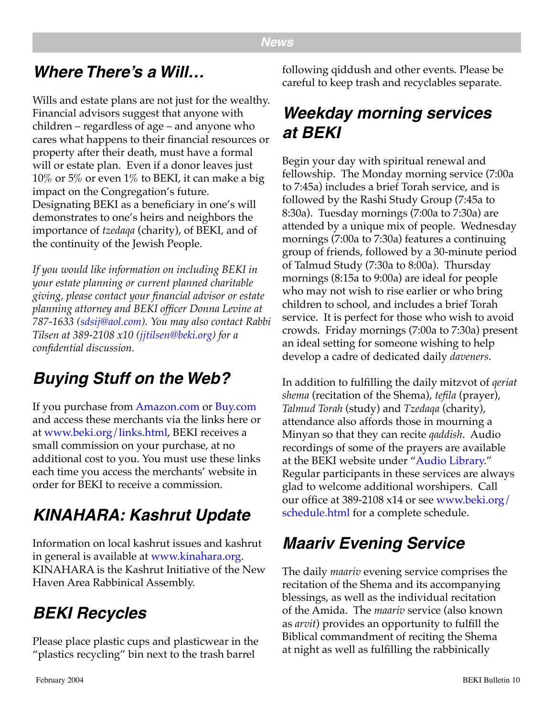## **Where There's a Will…**

Wills and estate plans are not just for the wealthy. Financial advisors suggest that anyone with children – regardless of age – and anyone who cares what happens to their financial resources or property after their death, must have a formal will or estate plan. Even if a donor leaves just  $10\%$  or 5% or even  $1\%$  to BEKI, it can make a big impact on the Congregation's future. Designating BEKI as a beneficiary in one's will demonstrates to one's heirs and neighbors the importance of *tzedaqa* (charity), of BEKI, and of the continuity of the Jewish People.

*If you would like information on including BEKI in your estate planning or current planned charitable giving, please contact your financial advisor or estate planning attorney and BEKI officer Donna Levine at 787-1633 ([sdsij@aol.com](mailto:sdsij@aol.com)). You may also contact Rabbi Tilsen at 389-2108 x10 ([jjtilsen@beki.org\)](mailto:jjtilsen@beki.org) for a confidential discussion.*

## **Buying Stuff on the Web?**

If you purchase from [Amazon.com](http://www.amazon.com/exec/obidos/redirect-home/congregabethelke) or [Buy.com](mailto:info@MediaArtsCenter.net) and access these merchants via the links here or at [www.beki.org/links.html](http://www.beki.org/links.html), BEKI receives a small commission on your purchase, at no additional cost to you. You must use these links each time you access the merchants' website in order for BEKI to receive a commission.

## **KINAHARA: Kashrut Update**

Information on local kashrut issues and kashrut in general is available at [www.kinahara.org.](http://www.kinahara.org) KINAHARA is the Kashrut Initiative of the New Haven Area Rabbinical Assembly.

## **BEKI Recycles**

Please place plastic cups and plasticwear in the "plastics recycling" bin next to the trash barrel

following qiddush and other events. Please be careful to keep trash and recyclables separate.

## **Weekday morning services at BEKI**

Begin your day with spiritual renewal and fellowship. The Monday morning service (7:00a to 7:45a) includes a brief Torah service, and is followed by the Rashi Study Group (7:45a to 8:30a). Tuesday mornings (7:00a to 7:30a) are attended by a unique mix of people. Wednesday mornings (7:00a to 7:30a) features a continuing group of friends, followed by a 30-minute period of Talmud Study (7:30a to 8:00a). Thursday mornings (8:15a to 9:00a) are ideal for people who may not wish to rise earlier or who bring children to school, and includes a brief Torah service. It is perfect for those who wish to avoid crowds. Friday mornings (7:00a to 7:30a) present an ideal setting for someone wishing to help develop a cadre of dedicated daily *daveners*.

In addition to fulfilling the daily mitzvot of *qeriat shema* (recitation of the Shema), *tefila* (prayer), *Talmud Torah* (study) and *Tzedaqa* (charity), attendance also affords those in mourning a Minyan so that they can recite *qaddish*. Audio recordings of some of the prayers are available at the BEKI website under "[Audio Library.](http://www.beki.org/audio.html)" Regular participants in these services are always glad to welcome additional worshipers. Call our office at 389-2108 x14 or see [www.beki.org/](http://www.beki.org/schedule.html) [schedule.html](http://www.beki.org/schedule.html) for a complete schedule.

## **Maariv Evening Service**

The daily *maariv* evening service comprises the recitation of the Shema and its accompanying blessings, as well as the individual recitation of the Amida. The *maariv* service (also known as *arvit*) provides an opportunity to fulfill the Biblical commandment of reciting the Shema at night as well as fulfilling the rabbinically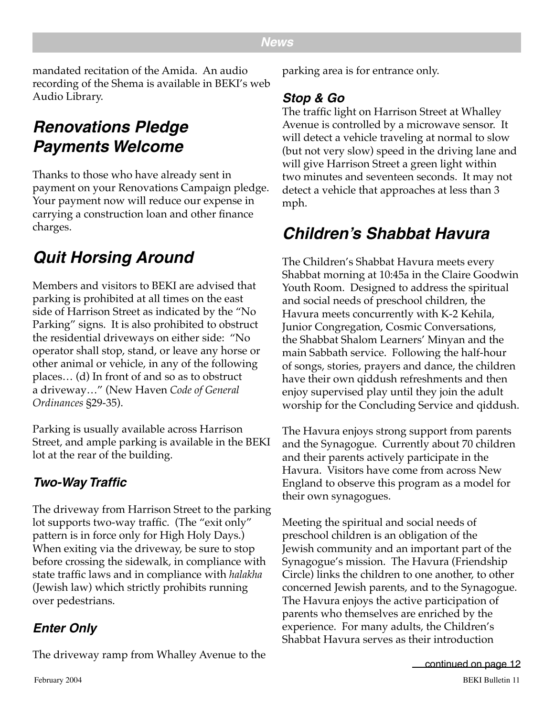#### **News**

mandated recitation of the Amida. An audio recording of the Shema is available in BEKI's web Audio Library.

## **Renovations Pledge Payments Welcome**

Thanks to those who have already sent in payment on your Renovations Campaign pledge. Your payment now will reduce our expense in carrying a construction loan and other finance charges.

## **Quit Horsing Around**

Members and visitors to BEKI are advised that parking is prohibited at all times on the east side of Harrison Street as indicated by the "No Parking" signs. It is also prohibited to obstruct the residential driveways on either side: "No operator shall stop, stand, or leave any horse or other animal or vehicle, in any of the following places… (d) In front of and so as to obstruct a driveway…" (New Haven *Code of General Ordinances* §29-35).

Parking is usually available across Harrison Street, and ample parking is available in the BEKI lot at the rear of the building.

## **Two-Way Traffic**

The driveway from Harrison Street to the parking lot supports two-way traffic. (The "exit only" pattern is in force only for High Holy Days.) When exiting via the driveway, be sure to stop before crossing the sidewalk, in compliance with state traffic laws and in compliance with *halakha* (Jewish law) which strictly prohibits running over pedestrians.

## **Enter Only**

The driveway ramp from Whalley Avenue to the

parking area is for entrance only.

#### **Stop & Go**

The traffic light on Harrison Street at Whalley Avenue is controlled by a microwave sensor. It will detect a vehicle traveling at normal to slow (but not very slow) speed in the driving lane and will give Harrison Street a green light within two minutes and seventeen seconds. It may not detect a vehicle that approaches at less than 3 mph.

## **Children's Shabbat Havura**

The Children's Shabbat Havura meets every Shabbat morning at 10:45a in the Claire Goodwin Youth Room. Designed to address the spiritual and social needs of preschool children, the Havura meets concurrently with K-2 Kehila, Junior Congregation, Cosmic Conversations, the Shabbat Shalom Learners' Minyan and the main Sabbath service. Following the half-hour of songs, stories, prayers and dance, the children have their own qiddush refreshments and then enjoy supervised play until they join the adult worship for the Concluding Service and qiddush.

The Havura enjoys strong support from parents and the Synagogue. Currently about 70 children and their parents actively participate in the Havura. Visitors have come from across New England to observe this program as a model for their own synagogues.

Meeting the spiritual and social needs of preschool children is an obligation of the Jewish community and an important part of the Synagogue's mission. The Havura (Friendship Circle) links the children to one another, to other concerned Jewish parents, and to the Synagogue. The Havura enjoys the active participation of parents who themselves are enriched by the experience. For many adults, the Children's Shabbat Havura serves as their introduction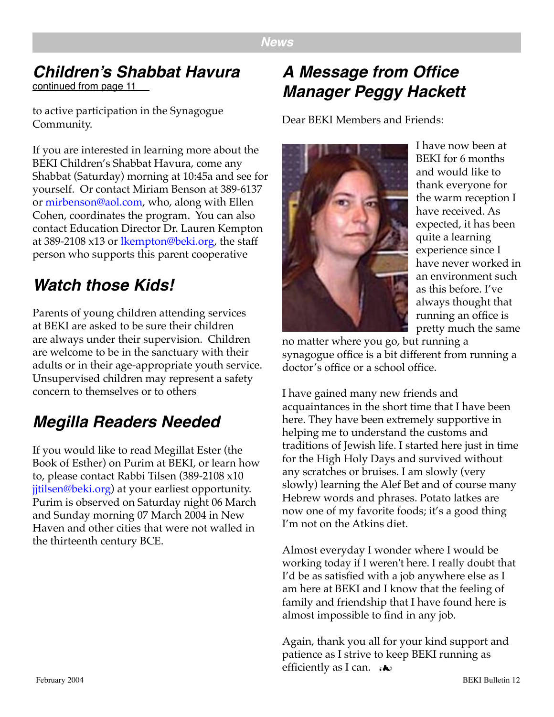## **Children's Shabbat Havura**

continued from page 11

to active participation in the Synagogue Community.

If you are interested in learning more about the BEKI Children's Shabbat Havura, come any Shabbat (Saturday) morning at 10:45a and see for yourself. Or contact Miriam Benson at 389-6137 or [mirbenson@aol.com,](mailto:mirbenson@aol.com) who, along with Ellen Cohen, coordinates the program. You can also contact Education Director Dr. Lauren Kempton at 389-2108 x13 or [lkempton@beki.org,](mailto:lkempton@beki.org) the staff person who supports this parent cooperative

## **Watch those Kids!**

Parents of young children attending services at BEKI are asked to be sure their children are always under their supervision. Children are welcome to be in the sanctuary with their adults or in their age-appropriate youth service. Unsupervised children may represent a safety concern to themselves or to others

## **Megilla Readers Needed**

If you would like to read Megillat Ester (the Book of Esther) on Purim at BEKI, or learn how to, please contact Rabbi Tilsen (389-2108 x10 [jjtilsen@beki.org\)](mailto:jjtilsen@beki.org) at your earliest opportunity. Purim is observed on Saturday night 06 March and Sunday morning 07 March 2004 in New Haven and other cities that were not walled in the thirteenth century BCE.

## **A Message from Office Manager Peggy Hackett**

Dear BEKI Members and Friends:



I have now been at BEKI for 6 months and would like to thank everyone for the warm reception I have received. As expected, it has been quite a learning experience since I have never worked in an environment such as this before. I've always thought that running an office is pretty much the same

no matter where you go, but running a synagogue office is a bit different from running a doctor's office or a school office.

I have gained many new friends and acquaintances in the short time that I have been here. They have been extremely supportive in helping me to understand the customs and traditions of Jewish life. I started here just in time for the High Holy Days and survived without any scratches or bruises. I am slowly (very slowly) learning the Alef Bet and of course many Hebrew words and phrases. Potato latkes are now one of my favorite foods; it's a good thing I'm not on the Atkins diet.

Almost everyday I wonder where I would be working today if I weren't here. I really doubt that I'd be as satisfied with a job anywhere else as I am here at BEKI and I know that the feeling of family and friendship that I have found here is almost impossible to find in any job.

Again, thank you all for your kind support and patience as I strive to keep BEKI running as efficiently as I can.  $\rightarrow \rightarrow$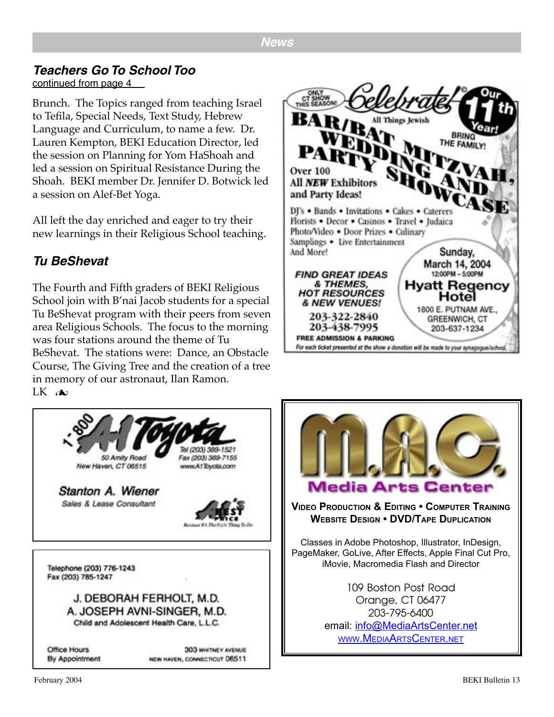## **Teachers Go To School Too**

continued from page 4

Brunch. The Topics ranged from teaching Israel to Tefila, Special Needs, Text Study, Hebrew Language and Curriculum, to name a few. Dr. Lauren Kempton, BEKI Education Director, led the session on Planning for Yom HaShoah and led a session on Spiritual Resistance During the Shoah. BEKI member Dr. Jennifer D. Botwick led a session on Alef-Bet Yoga.

All left the day enriched and eager to try their new learnings in their Religious School teaching.

## **Tu BeShevat**

The Fourth and Fifth graders of BEKI Religious School join with B'nai Jacob students for a special Tu BeShevat program with their peers from seven area Religious Schools. The focus to the morning was four stations around the theme of Tu BeShevat. The stations were: Dance, an Obstacle Course, The Giving Tree and the creation of a tree in memory of our astronaut, Ilan Ramon.  $LK$  de



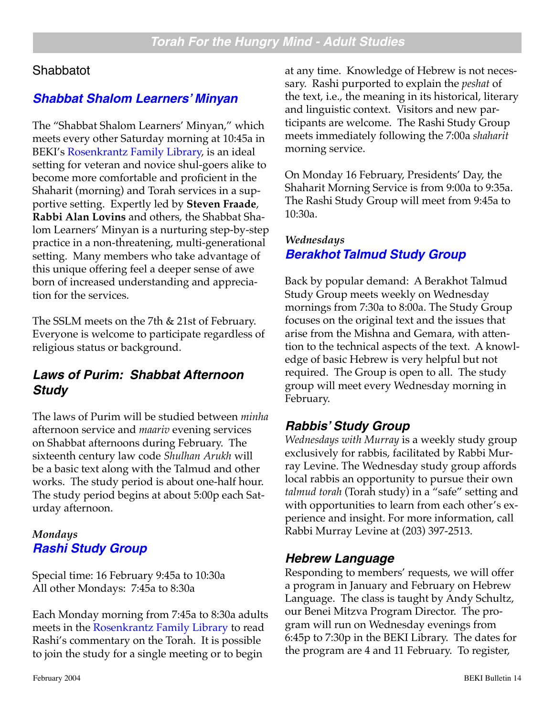#### **Shabbatot**

#### **[Shabbat Shalom Learners' Minyan](http://www.beki.org/adulted.html#sslm)**

The "Shabbat Shalom Learners' Minyan," which meets every other Saturday morning at 10:45a in BEKI's [Rosenkrantz Family Library,](http://www.beki.org/library.html) is an ideal setting for veteran and novice shul-goers alike to become more comfortable and proficient in the Shaharit (morning) and Torah services in a supportive setting. Expertly led by **Steven Fraade**, **Rabbi Alan Lovins** and others, the Shabbat Shalom Learners' Minyan is a nurturing step-by-step practice in a non-threatening, multi-generational setting. Many members who take advantage of this unique offering feel a deeper sense of awe born of increased understanding and appreciation for the services.

The SSLM meets on the 7th & 21st of February. Everyone is welcome to participate regardless of religious status or background.

#### **Laws of Purim: Shabbat Afternoon Study**

The laws of Purim will be studied between *minha* afternoon service and *maariv* evening services on Shabbat afternoons during February. The sixteenth century law code *Shulhan Arukh* will be a basic text along with the Talmud and other works. The study period is about one-half hour. The study period begins at about 5:00p each Saturday afternoon.

#### *Mondays* **[Rashi Study Group](http://www.beki.org/adulted.html#rashi)**

Special time: 16 February 9:45a to 10:30a All other Mondays: 7:45a to 8:30a

Each Monday morning from 7:45a to 8:30a adults meets in the [Rosenkrantz Family Library](http://www.beki.org/library.html) to read Rashi's commentary on the Torah. It is possible to join the study for a single meeting or to begin

at any time. Knowledge of Hebrew is not necessary. Rashi purported to explain the *peshat* of the text, i.e., the meaning in its historical, literary and linguistic context. Visitors and new participants are welcome. The Rashi Study Group meets immediately following the 7:00a *shaharit* morning service.

On Monday 16 February, Presidents' Day, the Shaharit Morning Service is from 9:00a to 9:35a. The Rashi Study Group will meet from 9:45a to 10:30a.

#### *Wednesdays* **[Berakhot Talmud Study Group](http://www.beki.org/coopjona.html)**

Back by popular demand: A Berakhot Talmud Study Group meets weekly on Wednesday mornings from 7:30a to 8:00a. The Study Group focuses on the original text and the issues that arise from the Mishna and Gemara, with attention to the technical aspects of the text. A knowledge of basic Hebrew is very helpful but not required. The Group is open to all. The study group will meet every Wednesday morning in February.

#### **Rabbis' Study Group**

*Wednesdays with Murray* is a weekly study group exclusively for rabbis, facilitated by Rabbi Murray Levine. The Wednesday study group affords local rabbis an opportunity to pursue their own *talmud torah* (Torah study) in a "safe" setting and with opportunities to learn from each other's experience and insight. For more information, call Rabbi Murray Levine at (203) 397-2513.

#### **Hebrew Language**

Responding to members' requests, we will offer a program in January and February on Hebrew Language. The class is taught by Andy Schultz, our Benei Mitzva Program Director. The program will run on Wednesday evenings from 6:45p to 7:30p in the BEKI Library. The dates for the program are 4 and 11 February. To register,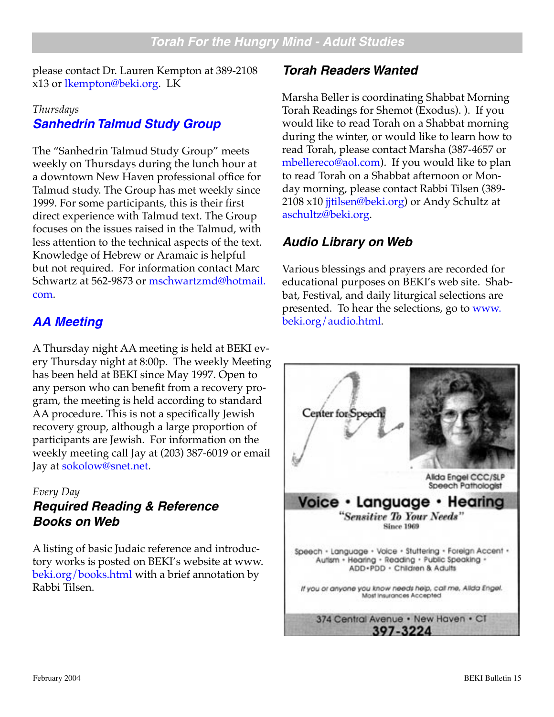please contact Dr. Lauren Kempton at 389-2108 x13 or [lkempton@beki.org.](mailto:lkempton@beki.org) LK

#### *Thursdays* **[Sanhedrin Talmud Study Group](http://www.beki.org/adulted.html#sanhedrin)**

The "Sanhedrin Talmud Study Group" meets weekly on Thursdays during the lunch hour at a downtown New Haven professional office for Talmud study. The Group has met weekly since 1999. For some participants, this is their first direct experience with Talmud text. The Group focuses on the issues raised in the Talmud, with less attention to the technical aspects of the text. Knowledge of Hebrew or Aramaic is helpful but not required. For information contact Marc Schwartz at 562-9873 or [mschwartzmd@hotmail.](mailto:mschwartzmd@hotmail.com) [com](mailto:mschwartzmd@hotmail.com).

## **[AA Meeting](http://www.beki.org/tiqunola.html#aameeting)**

A Thursday night AA meeting is held at BEKI every Thursday night at 8:00p. The weekly Meeting has been held at BEKI since May 1997. Open to any person who can benefit from a recovery program, the meeting is held according to standard AA procedure. This is not a specifically Jewish recovery group, although a large proportion of participants are Jewish. For information on the weekly meeting call Jay at (203) 387-6019 or email Jay at [sokolow@snet.net.](mailto:sokolow@snet.net)

#### *Every Day* **Required Reading & Reference Books on Web**

A listing of basic Judaic reference and introductory works is posted on BEKI's website at www. [beki.org/books.html](http://www.beki.org/books.html ) with a brief annotation by Rabbi Tilsen.

#### **Torah Readers Wanted**

Marsha Beller is coordinating Shabbat Morning Torah Readings for Shemot (Exodus). ). If you would like to read Torah on a Shabbat morning during the winter, or would like to learn how to read Torah, please contact Marsha (387-4657 or [mbellereco@aol.com](mailto:mbellereco@aol.com)). If you would like to plan to read Torah on a Shabbat afternoon or Monday morning, please contact Rabbi Tilsen (389- 2108 x10 jitilsen@beki.org) or Andy Schultz at [aschultz@beki.org](mailto:aschultz@beki.org).

## **Audio Library on Web**

Various blessings and prayers are recorded for educational purposes on BEKI's web site. Shabbat, Festival, and daily liturgical selections are presented. To hear the selections, go to [www.](http://www.beki.org/audio.html) [beki.org/audio.html](http://www.beki.org/audio.html).